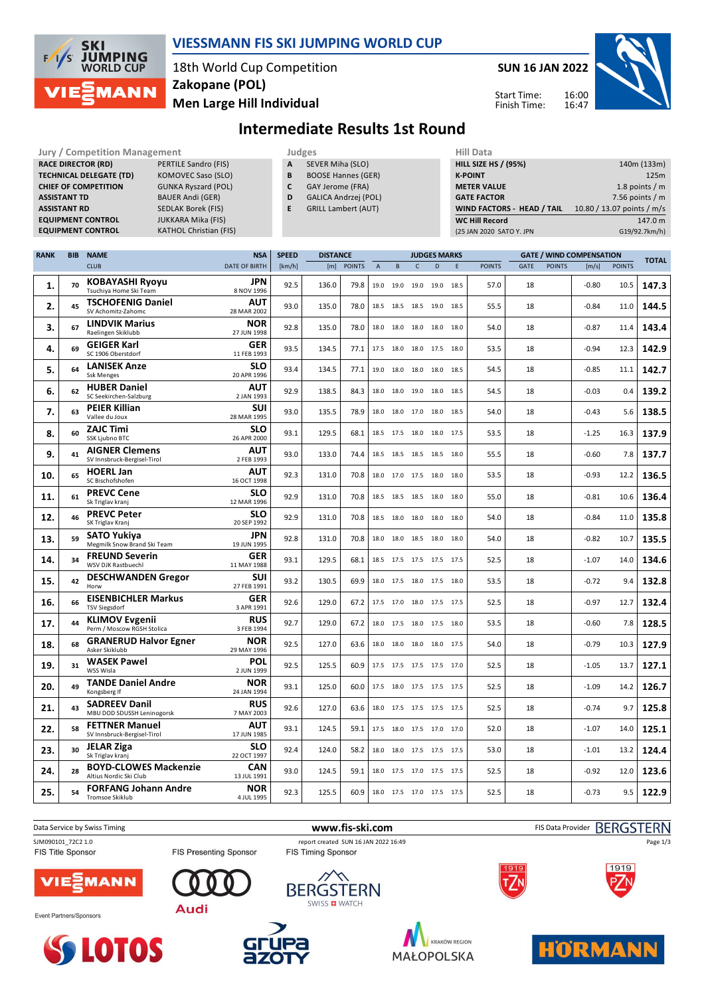

### **VIESSMANN FIS SKI JUMPING WORLD CUP**

18th World Cup Competition **Men Large Hill Individual Zakopane (POL)**

**Jury / Competition Management Management Judges All Data** 

**SUN 16 JAN 2022**

16:00 16:47 Start Time: Finish Time:



# **Intermediate Results 1st Round**

| <b>RACE DIRECTOR (RD)</b><br>PERTILE Sandro (FIS)<br><b>TECHNICAL DELEGATE (TD)</b><br><b>KOMOVEC Saso (SLO)</b> |            |                                                                      |                                        |              | SEVER Miha (SLO)<br>А<br>B<br><b>BOOSE Hannes (GER)</b> |               |             |           |                          |                     |   | <b>HILL SIZE HS / (95%)</b><br><b>K-POINT</b> |                                 | 140m (133m)<br>125m        |               |               |  |
|------------------------------------------------------------------------------------------------------------------|------------|----------------------------------------------------------------------|----------------------------------------|--------------|---------------------------------------------------------|---------------|-------------|-----------|--------------------------|---------------------|---|-----------------------------------------------|---------------------------------|----------------------------|---------------|---------------|--|
| <b>CHIEF OF COMPETITION</b><br><b>GUNKA Ryszard (POL)</b>                                                        |            |                                                                      |                                        |              | C<br>GAY Jerome (FRA)                                   |               |             |           |                          |                     |   | <b>METER VALUE</b>                            |                                 | 1.8 points $/m$            |               |               |  |
| <b>BAUER Andi (GER)</b><br><b>ASSISTANT TD</b>                                                                   |            |                                                                      |                                        |              | D<br>GALICA Andrzej (POL)                               |               |             |           |                          |                     |   | <b>GATE FACTOR</b>                            |                                 | 7.56 points $/m$           |               |               |  |
| <b>ASSISTANT RD</b><br><b>SEDLAK Borek (FIS)</b>                                                                 |            |                                                                      |                                        |              | <b>GRILL Lambert (AUT)</b>                              |               |             |           |                          |                     |   |                                               | WIND FACTORS - HEAD / TAIL      | 10.80 / 13.07 points / m/s |               |               |  |
| <b>EQUIPMENT CONTROL</b><br><b>JUKKARA Mika (FIS)</b>                                                            |            |                                                                      |                                        |              |                                                         |               |             |           |                          |                     |   | <b>WC Hill Record</b>                         |                                 |                            |               | 147.0 m       |  |
| <b>EQUIPMENT CONTROL</b><br><b>KATHOL Christian (FIS)</b>                                                        |            |                                                                      |                                        |              |                                                         |               |             |           |                          |                     |   | (25 JAN 2020 SATO Y. JPN                      |                                 |                            |               | G19/92.7km/h) |  |
|                                                                                                                  |            |                                                                      |                                        |              |                                                         |               |             |           |                          |                     |   |                                               |                                 |                            |               |               |  |
| <b>RANK</b>                                                                                                      | <b>BIB</b> | <b>NAME</b>                                                          | <b>NSA</b>                             | <b>SPEED</b> | <b>DISTANCE</b>                                         |               |             |           |                          | <b>JUDGES MARKS</b> |   |                                               | <b>GATE / WIND COMPENSATION</b> |                            |               |               |  |
|                                                                                                                  |            | <b>CLUB</b>                                                          | DATE OF BIRTH                          | [km/h]       | [m]                                                     | <b>POINTS</b> | $\mathsf A$ | B         | $\mathsf{C}$             | D                   | E | <b>POINTS</b>                                 | GATE<br><b>POINTS</b>           | [m/s]                      | <b>POINTS</b> | <b>TOTAL</b>  |  |
| 1.                                                                                                               | 70         | <b>KOBAYASHI Ryoyu</b><br>Tsuchiya Home Ski Team                     | JPN<br>8 NOV 1996                      | 92.5         | 136.0                                                   | 79.8          |             | 19.0 19.0 | 19.0                     | 19.0 18.5           |   | 57.0                                          | 18                              | $-0.80$                    | 10.5          | 147.3         |  |
| 2.                                                                                                               | 45         | <b>TSCHOFENIG Daniel</b><br>SV Achomitz-Zahomc                       | <b>AUT</b><br>28 MAR 2002              | 93.0         | 135.0                                                   | 78.0          |             |           | 18.5 18.5 18.5 19.0 18.5 |                     |   | 55.5                                          | 18                              | $-0.84$                    | 11.0          | 144.5         |  |
| 3.                                                                                                               | 67         | <b>LINDVIK Marius</b><br>Raelingen Skiklubb                          | <b>NOR</b><br>27 JUN 1998              | 92.8         | 135.0                                                   | 78.0          |             |           | 18.0 18.0 18.0 18.0 18.0 |                     |   | 54.0                                          | 18                              | $-0.87$                    | 11.4          | 143.4         |  |
| 4.                                                                                                               | 69         | <b>GEIGER Karl</b><br>SC 1906 Oberstdorf                             | <b>GER</b><br>11 FEB 1993              | 93.5         | 134.5                                                   | 77.1          |             |           | 17.5 18.0 18.0 17.5 18.0 |                     |   | 53.5                                          | 18                              | $-0.94$                    | 12.3          | 142.9         |  |
| 5.                                                                                                               | 64         | <b>LANISEK Anze</b><br><b>Ssk Menges</b>                             | <b>SLO</b><br>20 APR 1996              | 93.4         | 134.5                                                   | 77.1          |             |           | 19.0 18.0 18.0 18.0 18.5 |                     |   | 54.5                                          | 18                              | $-0.85$                    | 11.1          | 142.7         |  |
| 6.                                                                                                               | 62         | <b>HUBER Daniel</b><br>SC Seekirchen-Salzburg                        | AUT<br>2 JAN 1993                      | 92.9         | 138.5                                                   | 84.3          |             |           | 18.0 18.0 19.0 18.0 18.5 |                     |   | 54.5                                          | 18                              | $-0.03$                    | 0.4           | 139.2         |  |
| 7.                                                                                                               | 63         | PEIER Killian<br>Vallee du Joux                                      | SUI<br>28 MAR 1995                     | 93.0         | 135.5                                                   | 78.9          |             |           | 18.0 18.0 17.0 18.0 18.5 |                     |   | 54.0                                          | 18                              | $-0.43$                    | 5.6           | 138.5         |  |
| 8.                                                                                                               | 60         | <b>ZAJC Timi</b><br>SSK Ljubno BTC                                   | <b>SLO</b><br>26 APR 2000              | 93.1         | 129.5                                                   | 68.1          |             |           | 18.5 17.5 18.0 18.0 17.5 |                     |   | 53.5                                          | 18                              | $-1.25$                    | 16.3          | 137.9         |  |
| 9.                                                                                                               | 41         | <b>AIGNER Clemens</b><br>SV Innsbruck-Bergisel-Tirol                 | AUT<br>2 FEB 1993                      | 93.0         | 133.0                                                   | 74.4          |             |           | 18.5 18.5 18.5 18.5 18.0 |                     |   | 55.5                                          | 18                              | $-0.60$                    | 7.8           | 137.7         |  |
| 10.                                                                                                              | 65         | <b>HOERL Jan</b><br>SC Bischofshofen                                 | AUT<br>16 OCT 1998                     | 92.3         | 131.0                                                   | 70.8          |             |           | 18.0 17.0 17.5 18.0 18.0 |                     |   | 53.5                                          | 18                              | $-0.93$                    | 12.2          | 136.5         |  |
| 11.                                                                                                              | 61         | <b>PREVC Cene</b><br>Sk Triglav kranj                                | <b>SLO</b><br>12 MAR 1996              | 92.9         | 131.0                                                   | 70.8          |             |           | 18.5 18.5 18.5 18.0 18.0 |                     |   | 55.0                                          | 18                              | $-0.81$                    | 10.6          | 136.4         |  |
| 12.                                                                                                              | 46         | <b>PREVC Peter</b><br>SK Triglav Kranj                               | <b>SLO</b><br>20 SEP 1992              | 92.9         | 131.0                                                   | 70.8          |             |           | 18.5 18.0 18.0 18.0 18.0 |                     |   | 54.0                                          | 18                              | $-0.84$                    | 11.0          | 135.8         |  |
| 13.                                                                                                              | 59         | <b>SATO Yukiya</b><br>Megmilk Snow Brand Ski Team                    | JPN<br>19 JUN 1995                     | 92.8         | 131.0                                                   | 70.8          |             |           | 18.0 18.0 18.5 18.0 18.0 |                     |   | 54.0                                          | 18                              | $-0.82$                    | 10.7          | 135.5         |  |
| 14.                                                                                                              | 34         | <b>FREUND Severin</b><br>WSV DJK Rastbuechl                          | <b>GER</b><br>11 MAY 1988              | 93.1         | 129.5                                                   | 68.1          |             |           | 18.5 17.5 17.5 17.5 17.5 |                     |   | 52.5                                          | 18                              | $-1.07$                    | 14.0          | 134.6         |  |
| 15.                                                                                                              | 42         | <b>DESCHWANDEN Gregor</b><br>Horw                                    | SUI<br>27 FEB 1991                     | 93.2         | 130.5                                                   | 69.9          |             |           | 18.0 17.5 18.0 17.5 18.0 |                     |   | 53.5                                          | 18                              | $-0.72$                    | 9.4           | 132.8         |  |
| 16.                                                                                                              | 66         | <b>EISENBICHLER Markus</b><br><b>TSV Siegsdorf</b>                   | <b>GER</b><br>3 APR 1991<br><b>RUS</b> | 92.6         | 129.0                                                   | 67.2          |             |           | 17.5 17.0 18.0 17.5 17.5 |                     |   | 52.5                                          | 18                              | $-0.97$                    | 12.7          | 132.4         |  |
| 17.                                                                                                              | 44         | <b>KLIMOV Evgenii</b><br>Perm / Moscow RGSH Stolica                  | 3 FEB 1994<br><b>NOR</b>               | 92.7         | 129.0                                                   | 67.2          |             |           | 18.0 17.5 18.0 17.5 18.0 |                     |   | 53.5                                          | 18                              | $-0.60$                    | 7.8           | 128.5         |  |
| 18.                                                                                                              | 68         | <b>GRANERUD Halvor Egner</b><br>Asker Skiklubb<br><b>WASEK Pawel</b> | 29 MAY 1996<br>POL                     | 92.5         | 127.0                                                   | 63.6          |             |           | 18.0 18.0 18.0 18.0 17.5 |                     |   | 54.0                                          | 18                              | $-0.79$                    | 10.3          | 127.9         |  |
| 19.                                                                                                              | 31         | WSS Wisla<br><b>TANDE Daniel Andre</b>                               | 2 JUN 1999<br><b>NOR</b>               | 92.5         | 125.5                                                   | 60.9          |             |           | 17.5 17.5 17.5 17.5 17.0 |                     |   | 52.5                                          | 18                              | $-1.05$                    | 13.7          | 127.1         |  |
| 20.                                                                                                              | 49         | Kongsberg If<br><b>SADREEV Danil</b>                                 | 24 JAN 1994<br><b>RUS</b>              | 93.1         | 125.0                                                   | 60.0          |             |           | 17.5 18.0 17.5 17.5 17.5 |                     |   | 52.5                                          | 18                              | $-1.09$                    | 14.2          | 126.7         |  |
| 21.                                                                                                              | 43         | MBU DOD SDUSSH Leninogorsk<br><b>FETTNER Manuel</b>                  | 7 MAY 2003<br><b>AUT</b>               | 92.6         | 127.0                                                   | 63.6          |             |           | 18.0 17.5 17.5 17.5 17.5 |                     |   | 52.5                                          | 18                              | $-0.74$                    | 9.7           | 125.8         |  |
| 22.                                                                                                              | 58         | SV Innsbruck-Bergisel-Tirol<br><b>JELAR Ziga</b>                     | 17 JUN 1985<br><b>SLO</b>              | 93.1         | 124.5                                                   | 59.1          |             |           | 17.5 18.0 17.5 17.0 17.0 |                     |   | 52.0                                          | 18                              | $-1.07$                    | 14.0          | 125.1         |  |
| 23.                                                                                                              | 30         | Sk Triglav kranj<br><b>BOYD-CLOWES Mackenzie</b>                     | 22 OCT 1997<br><b>CAN</b>              | 92.4         | 124.0                                                   | 58.2          |             |           | 18.0 18.0 17.5 17.5 17.5 |                     |   | 53.0                                          | 18                              | $-1.01$                    | 13.2          | 124.4         |  |
| 24.                                                                                                              | 28         | Altius Nordic Ski Club<br><b>FORFANG Johann Andre</b>                | 13 JUL 1991<br><b>NOR</b>              | 93.0         | 124.5                                                   | 59.1          |             |           | 18.0 17.5 17.0 17.5 17.5 |                     |   | 52.5                                          | 18                              | $-0.92$                    | 12.0          | 123.6         |  |
| 25.                                                                                                              | 54         | Tromsoe Skiklub                                                      | 4 JUL 1995                             | 92.3         | 125.5                                                   | 60.9          |             |           | 18.0 17.5 17.0 17.5 17.5 |                     |   | 52.5                                          | 18                              | $-0.73$                    | 9.5           | 122.9         |  |









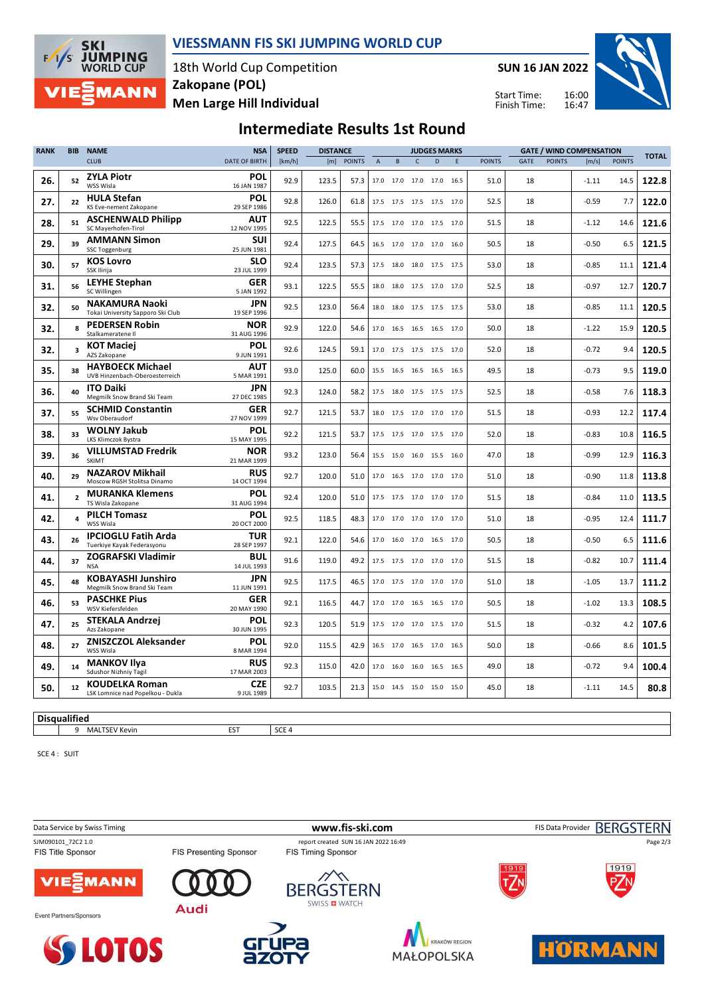

#### **VIESSMANN FIS SKI JUMPING WORLD CUP**

18th World Cup Competition **Men Large Hill Individual Zakopane (POL)**

**SUN 16 JAN 2022**

Start Time: Finish Time:



# **Intermediate Results 1st Round**

| <b>RANK</b> | <b>BIB</b>              | <b>NAME</b>                                                | <b>NSA</b>                | <b>SPEED</b><br><b>DISTANCE</b> |       | <b>JUDGES MARKS</b> |                |           |              |                          |      |               |      | <b>GATE / WIND COMPENSATION</b> |         |               |              |
|-------------|-------------------------|------------------------------------------------------------|---------------------------|---------------------------------|-------|---------------------|----------------|-----------|--------------|--------------------------|------|---------------|------|---------------------------------|---------|---------------|--------------|
|             |                         | <b>CLUB</b>                                                | <b>DATE OF BIRTH</b>      | [km/h]                          | [m]   | <b>POINTS</b>       | $\overline{A}$ | B         | $\mathsf{C}$ | D                        | E    | <b>POINTS</b> | GATE | <b>POINTS</b>                   | [m/s]   | <b>POINTS</b> | <b>TOTAL</b> |
| 26.         | 52                      | <b>ZYLA Piotr</b><br>WSS Wisla                             | POL<br>16 JAN 1987        | 92.9                            | 123.5 | 57.3                |                | 17.0 17.0 |              | 17.0 17.0 16.5           |      | 51.0          | 18   |                                 | $-1.11$ | 14.5          | 122.8        |
| 27.         | 22                      | <b>HULA Stefan</b><br>KS Eve-nement Zakopane               | POL<br>29 SEP 1986        | 92.8                            | 126.0 | 61.8                |                |           |              | 17.5 17.5 17.5 17.5 17.0 |      | 52.5          | 18   |                                 | $-0.59$ | 7.7           | 122.0        |
| 28.         | 51                      | <b>ASCHENWALD Philipp</b><br>SC Maverhofen-Tirol           | <b>AUT</b><br>12 NOV 1995 | 92.5                            | 122.5 | 55.5                |                |           |              | 17.5 17.0 17.0 17.5 17.0 |      | 51.5          | 18   |                                 | $-1.12$ | 14.6          | 121.6        |
| 29.         | 39                      | <b>AMMANN Simon</b><br><b>SSC Toggenburg</b>               | SUI<br>25 JUN 1981        | 92.4                            | 127.5 | 64.5                |                | 16.5 17.0 | 17.0 17.0    |                          | 16.0 | 50.5          | 18   |                                 | $-0.50$ | 6.5           | 121.5        |
| 30.         | 57                      | <b>KOS Lovro</b><br>SSK Ilirija                            | <b>SLO</b><br>23 JUL 1999 | 92.4                            | 123.5 | 57.3                |                | 17.5 18.0 |              | 18.0 17.5 17.5           |      | 53.0          | 18   |                                 | $-0.85$ | 11.1          | 121.4        |
| 31.         | 56                      | <b>LEYHE Stephan</b><br>SC Willingen                       | <b>GER</b><br>5 JAN 1992  | 93.1                            | 122.5 | 55.5                |                |           |              | 18.0 18.0 17.5 17.0 17.0 |      | 52.5          | 18   |                                 | $-0.97$ | 12.7          | 120.7        |
| 32.         | 50                      | <b>NAKAMURA Naoki</b><br>Tokai University Sapporo Ski Club | JPN<br>19 SEP 1996        | 92.5                            | 123.0 | 56.4                |                |           |              | 18.0 18.0 17.5 17.5 17.5 |      | 53.0          | 18   |                                 | $-0.85$ | 11.1          | 120.5        |
| 32.         | 8                       | <b>PEDERSEN Robin</b><br>Stalkameratene II                 | <b>NOR</b><br>31 AUG 1996 | 92.9                            | 122.0 | 54.6                |                | 17.0 16.5 |              | 16.5 16.5 17.0           |      | 50.0          | 18   |                                 | $-1.22$ | 15.9          | 120.5        |
| 32.         | $\overline{\mathbf{3}}$ | <b>KOT Maciej</b><br>AZS Zakopane                          | <b>POL</b><br>9 JUN 1991  | 92.6                            | 124.5 | 59.1                |                |           |              | 17.0 17.5 17.5 17.5 17.0 |      | 52.0          | 18   |                                 | $-0.72$ | 9.4           | 120.5        |
| 35.         | 38                      | <b>HAYBOECK Michael</b><br>UVB Hinzenbach-Oberoesterreich  | <b>AUT</b><br>5 MAR 1991  | 93.0                            | 125.0 | 60.0                |                |           |              | 15.5 16.5 16.5 16.5 16.5 |      | 49.5          | 18   |                                 | $-0.73$ | 9.5           | 119.0        |
| 36.         | 40                      | <b>ITO Daiki</b><br>Megmilk Snow Brand Ski Team            | <b>JPN</b><br>27 DEC 1985 | 92.3                            | 124.0 | 58.2                |                |           |              | 17.5 18.0 17.5 17.5 17.5 |      | 52.5          | 18   |                                 | $-0.58$ | 7.6           | 118.3        |
| 37.         | 55                      | <b>SCHMID Constantin</b><br>Wsv Oberaudorf                 | <b>GER</b><br>27 NOV 1999 | 92.7                            | 121.5 | 53.7                |                |           |              | 18.0 17.5 17.0 17.0 17.0 |      | 51.5          | 18   |                                 | $-0.93$ | 12.2          | 117.4        |
| 38.         | 33                      | <b>WOLNY Jakub</b><br>LKS Klimczok Bystra                  | POL<br>15 MAY 1995        | 92.2                            | 121.5 | 53.7                |                |           |              | 17.5 17.5 17.0 17.5 17.0 |      | 52.0          | 18   |                                 | $-0.83$ | 10.8          | 116.5        |
| 39.         | 36                      | <b>VILLUMSTAD Fredrik</b><br><b>SKIMT</b>                  | <b>NOR</b><br>21 MAR 1999 | 93.2                            | 123.0 | 56.4                |                |           |              | 15.5 15.0 16.0 15.5 16.0 |      | 47.0          | 18   |                                 | $-0.99$ | 12.9          | 116.3        |
| 40.         | 29                      | <b>NAZAROV Mikhail</b><br>Moscow RGSH Stolitsa Dinamo      | <b>RUS</b><br>14 OCT 1994 | 92.7                            | 120.0 | 51.0                |                | 17.0 16.5 |              | 17.0 17.0 17.0           |      | 51.0          | 18   |                                 | $-0.90$ | 11.8          | 113.8        |
| 41.         | $\overline{2}$          | <b>MURANKA Klemens</b><br>TS Wisla Zakopane                | POL<br>31 AUG 1994        | 92.4                            | 120.0 | 51.0                |                |           |              | 17.5 17.5 17.0 17.0 17.0 |      | 51.5          | 18   |                                 | $-0.84$ | 11.0          | 113.5        |
| 42.         |                         | <b>PILCH Tomasz</b><br>WSS Wisla                           | <b>POL</b><br>20 OCT 2000 | 92.5                            | 118.5 | 48.3                |                |           |              | 17.0 17.0 17.0 17.0 17.0 |      | 51.0          | 18   |                                 | $-0.95$ | 12.4          | 111.7        |
| 43.         | 26                      | <b>IPCIOGLU Fatih Arda</b><br>Tuerkiye Kayak Federasyonu   | <b>TUR</b><br>28 SEP 1997 | 92.1                            | 122.0 | 54.6                |                |           |              | 17.0 16.0 17.0 16.5 17.0 |      | 50.5          | 18   |                                 | $-0.50$ | 6.5           | 111.6        |
| 44.         | 37                      | <b>ZOGRAFSKI Vladimir</b><br><b>NSA</b>                    | <b>BUL</b><br>14 JUL 1993 | 91.6                            | 119.0 | 49.2                |                |           |              | 17.5 17.5 17.0 17.0 17.0 |      | 51.5          | 18   |                                 | $-0.82$ | 10.7          | 111.4        |
| 45.         | 48                      | <b>KOBAYASHI Junshiro</b><br>Megmilk Snow Brand Ski Team   | JPN<br>11 JUN 1991        | 92.5                            | 117.5 | 46.5                |                |           |              | 17.0 17.5 17.0 17.0 17.0 |      | 51.0          | 18   |                                 | $-1.05$ | 13.7          | 111.2        |
| 46.         | 53                      | <b>PASCHKE Pius</b><br>WSV Kiefersfelden                   | <b>GER</b><br>20 MAY 1990 | 92.1                            | 116.5 | 44.7                |                | 17.0 17.0 |              | 16.5 16.5 17.0           |      | 50.5          | 18   |                                 | $-1.02$ | 13.3          | 108.5        |
| 47.         | 25                      | <b>STEKALA Andrzej</b><br>Azs Zakopane                     | POL<br>30 JUN 1995        | 92.3                            | 120.5 | 51.9                |                | 17.5 17.0 |              | 17.0 17.5 17.0           |      | 51.5          | 18   |                                 | $-0.32$ | 4.2           | 107.6        |
| 48.         | 27                      | <b>ZNISZCZOL Aleksander</b><br>WSS Wisla                   | POL<br>8 MAR 1994         | 92.0                            | 115.5 | 42.9                |                |           |              | 16.5 17.0 16.5 17.0 16.5 |      | 50.0          | 18   |                                 | $-0.66$ | 8.6           | 101.5        |
| 49.         | 14                      | <b>MANKOV Ilva</b><br><b>Sdushor Nizhniy Tagil</b>         | <b>RUS</b><br>17 MAR 2003 | 92.3                            | 115.0 | 42.0                | 17.0 16.0      |           |              | 16.0 16.5 16.5           |      | 49.0          | 18   |                                 | $-0.72$ | 9.4           | 100.4        |
| 50.         | 12                      | <b>KOUDELKA Roman</b><br>LSK Lomnice nad Popelkou - Dukla  | <b>CZE</b><br>9 JUL 1989  | 92.7                            | 103.5 | 21.3                |                |           |              | 15.0 14.5 15.0 15.0 15.0 |      | 45.0          | 18   |                                 | $-1.11$ | 14.5          | 80.8         |

**Disqualified** 

MALTSEV Kevin EST SCE 4

SCE 4 : SUIT